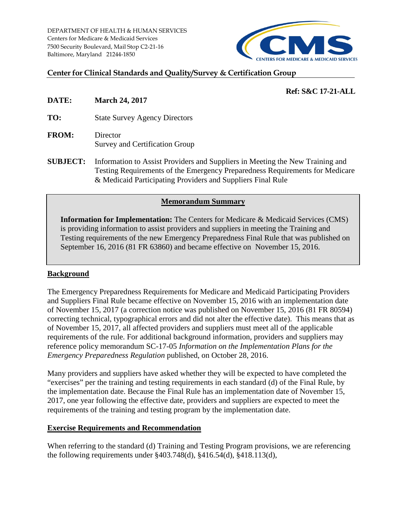DEPARTMENT OF HEALTH & HUMAN SERVICES Centers for Medicare & Medicaid Services 7500 Security Boulevard, Mail Stop C2-21-16 Baltimore, Maryland 21244-1850



### **Center for Clinical Standards and Quality/Survey & Certification Group**

## **Ref: S&C 17-21-ALL**

**DATE: March 24, 2017**

**TO:** State Survey Agency Directors

- **FROM:** Director Survey and Certification Group
- **SUBJECT:** Information to Assist Providers and Suppliers in Meeting the New Training and Testing Requirements of the Emergency Preparedness Requirements for Medicare & Medicaid Participating Providers and Suppliers Final Rule

### **Memorandum Summary**

**Information for Implementation:** The Centers for Medicare & Medicaid Services (CMS) is providing information to assist providers and suppliers in meeting the Training and Testing requirements of the new Emergency Preparedness Final Rule that was published on September 16, 2016 (81 FR 63860) and became effective on November 15, 2016.

## **Background**

The Emergency Preparedness Requirements for Medicare and Medicaid Participating Providers and Suppliers Final Rule became effective on November 15, 2016 with an implementation date of November 15, 2017 (a correction notice was published on November 15, 2016 (81 FR 80594) correcting technical, typographical errors and did not alter the effective date). This means that as of November 15, 2017, all affected providers and suppliers must meet all of the applicable requirements of the rule. For additional background information, providers and suppliers may reference policy memorandum SC-17-05 *Information on the Implementation Plans for the Emergency Preparedness Regulation* published, on October 28, 2016.

Many providers and suppliers have asked whether they will be expected to have completed the "exercises" per the training and testing requirements in each standard (d) of the Final Rule, by the implementation date. Because the Final Rule has an implementation date of November 15, 2017, one year following the effective date, providers and suppliers are expected to meet the requirements of the training and testing program by the implementation date.

#### **Exercise Requirements and Recommendation**

When referring to the standard (d) Training and Testing Program provisions, we are referencing the following requirements under §403.748(d), §416.54(d), §418.113(d),